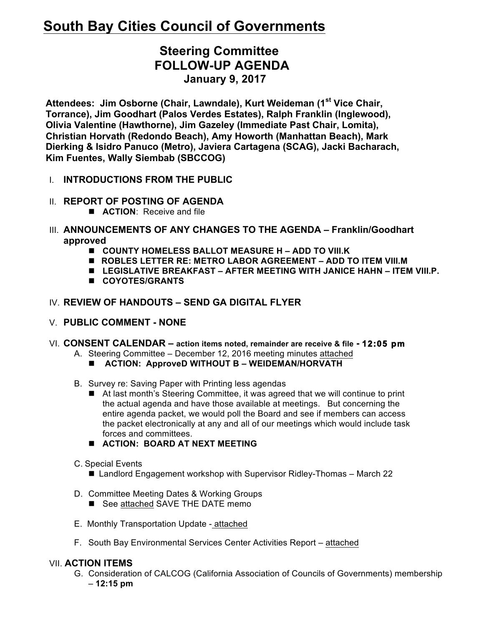# **South Bay Cities Council of Governments**

# **Steering Committee FOLLOW-UP AGENDA January 9, 2017**

**Attendees: Jim Osborne (Chair, Lawndale), Kurt Weideman (1st Vice Chair, Torrance), Jim Goodhart (Palos Verdes Estates), Ralph Franklin (Inglewood), Olivia Valentine (Hawthorne), Jim Gazeley (Immediate Past Chair, Lomita), Christian Horvath (Redondo Beach), Amy Howorth (Manhattan Beach), Mark Dierking & Isidro Panuco (Metro), Javiera Cartagena (SCAG), Jacki Bacharach, Kim Fuentes, Wally Siembab (SBCCOG)**

- I. **INTRODUCTIONS FROM THE PUBLIC**
- II. **REPORT OF POSTING OF AGENDA**
	- **n ACTION**: Receive and file
- III. **ANNOUNCEMENTS OF ANY CHANGES TO THE AGENDA – Franklin/Goodhart approved**
	- COUNTY HOMELESS BALLOT MEASURE H ADD TO VIII.K
	- n **ROBLES LETTER RE: METRO LABOR AGREEMENT – ADD TO ITEM VIII.M**
	- LEGISLATIVE BREAKFAST AFTER MEETING WITH JANICE HAHN ITEM VIII.P.
	- n **COYOTES/GRANTS**

# IV. **REVIEW OF HANDOUTS – SEND GA DIGITAL FLYER**

- V. **PUBLIC COMMENT - NONE**
- VI. **CONSENT CALENDAR – action items noted, remainder are receive & file - 12:05 pm** 
	- A. Steering Committee December 12, 2016 meeting minutes attached
		- **ACTION: ApproveD WITHOUT B WEIDEMAN/HORVATH**
	- B. Survey re: Saving Paper with Printing less agendas
		- At last month's Steering Committee, it was agreed that we will continue to print the actual agenda and have those available at meetings. But concerning the entire agenda packet, we would poll the Board and see if members can access the packet electronically at any and all of our meetings which would include task forces and committees.
		- $\blacksquare$  ACTION: BOARD AT NEXT MEETING
	- C. Special Events
		- Landlord Engagement workshop with Supervisor Ridley-Thomas March 22
	- D. Committee Meeting Dates & Working Groups
		- See attached SAVE THE DATE memo
	- E. Monthly Transportation Update attached
	- F. South Bay Environmental Services Center Activities Report attached

## VII. **ACTION ITEMS**

G. Consideration of CALCOG (California Association of Councils of Governments) membership – **12:15 pm**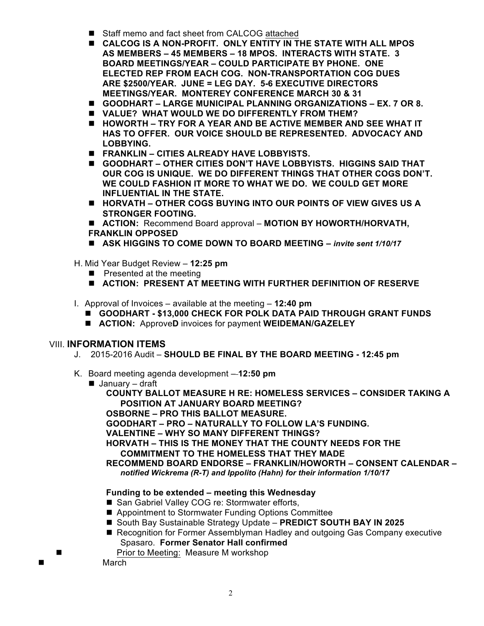- Staff memo and fact sheet from CALCOG attached
- **E** CALCOG IS A NON-PROFIT. ONLY ENTITY IN THE STATE WITH ALL MPOS **AS MEMBERS – 45 MEMBERS – 18 MPOS. INTERACTS WITH STATE. 3 BOARD MEETINGS/YEAR – COULD PARTICIPATE BY PHONE. ONE ELECTED REP FROM EACH COG. NON-TRANSPORTATION COG DUES ARE \$2500/YEAR. JUNE = LEG DAY. 5-6 EXECUTIVE DIRECTORS MEETINGS/YEAR. MONTEREY CONFERENCE MARCH 30 & 31**
- **GOODHART LARGE MUNICIPAL PLANNING ORGANIZATIONS EX. 7 OR 8.**
- **N VALUE? WHAT WOULD WE DO DIFFERENTLY FROM THEM?**
- HOWORTH TRY FOR A YEAR AND BE ACTIVE MEMBER AND SEE WHAT IT **HAS TO OFFER. OUR VOICE SHOULD BE REPRESENTED. ADVOCACY AND LOBBYING.**
- **FRANKLIN CITIES ALREADY HAVE LOBBYISTS.**
- **GOODHART OTHER CITIES DON'T HAVE LOBBYISTS. HIGGINS SAID THAT OUR COG IS UNIQUE. WE DO DIFFERENT THINGS THAT OTHER COGS DON'T. WE COULD FASHION IT MORE TO WHAT WE DO. WE COULD GET MORE INFLUENTIAL IN THE STATE.**
- HORVATH OTHER COGS BUYING INTO OUR POINTS OF VIEW GIVES US A **STRONGER FOOTING.**

■ **ACTION:** Recommend Board approval – **MOTION BY HOWORTH/HORVATH, FRANKLIN OPPOSED**

- ASK HIGGINS TO COME DOWN TO BOARD MEETING *invite sent 1/10/17*
- H. Mid Year Budget Review **12:25 pm**
	- $\blacksquare$  Presented at the meeting
	- **n** ACTION: PRESENT AT MEETING WITH FURTHER DEFINITION OF RESERVE
- I. Approval of Invoices available at the meeting **12:40 pm**
	- n **GOODHART - \$13,000 CHECK FOR POLK DATA PAID THROUGH GRANT FUNDS**
	- n **ACTION:** Approve**D** invoices for payment **WEIDEMAN/GAZELEY**

### VIII. **INFORMATION ITEMS**

- J. 2015-2016 Audit **SHOULD BE FINAL BY THE BOARD MEETING - 12:45 pm**
- K. Board meeting agenda development **12:50 pm** 
	- $\blacksquare$  January draft

**COUNTY BALLOT MEASURE H RE: HOMELESS SERVICES – CONSIDER TAKING A POSITION AT JANUARY BOARD MEETING?**

**OSBORNE – PRO THIS BALLOT MEASURE.** 

**GOODHART – PRO – NATURALLY TO FOLLOW LA'S FUNDING.**

**VALENTINE – WHY SO MANY DIFFERENT THINGS?**

**HORVATH – THIS IS THE MONEY THAT THE COUNTY NEEDS FOR THE COMMITMENT TO THE HOMELESS THAT THEY MADE**

**RECOMMEND BOARD ENDORSE – FRANKLIN/HOWORTH – CONSENT CALENDAR –** *notified Wickrema (R-T) and Ippolito (Hahn) for their information 1/10/17*

#### **Funding to be extended – meeting this Wednesday**

- San Gabriel Valley COG re: Stormwater efforts,
- Appointment to Stormwater Funding Options Committee
- South Bay Sustainable Strategy Update **PREDICT SOUTH BAY IN 2025**
- Recognition for Former Assemblyman Hadley and outgoing Gas Company executive Spasaro. **Former Senator Hall confirmed**
	- Prior to Meeting: Measure M workshop

March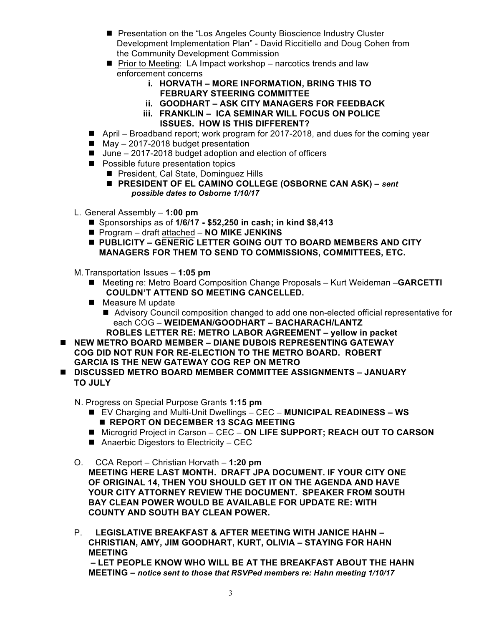- Presentation on the "Los Angeles County Bioscience Industry Cluster Development Implementation Plan" - David Riccitiello and Doug Cohen from the Community Development Commission
- $\blacksquare$  Prior to Meeting: LA Impact workshop narcotics trends and law enforcement concerns
	- **i. HORVATH – MORE INFORMATION, BRING THIS TO FEBRUARY STEERING COMMITTEE**
	- **ii. GOODHART – ASK CITY MANAGERS FOR FEEDBACK**
	- **iii. FRANKLIN – ICA SEMINAR WILL FOCUS ON POLICE ISSUES. HOW IS THIS DIFFERENT?**
- April Broadband report; work program for 2017-2018, and dues for the coming year
- $M = M$ ay 2017-2018 budget presentation
- $\blacksquare$  June 2017-2018 budget adoption and election of officers
- **n** Possible future presentation topics
	- President, Cal State, Dominguez Hills
	- n **PRESIDENT OF EL CAMINO COLLEGE (OSBORNE CAN ASK) –** *sent possible dates to Osborne 1/10/17*
- L. General Assembly **1:00 pm**
	- Sponsorships as of **1/6/17 \$52,250 in cash; in kind \$8,413**
	- Program draft attached **NO MIKE JENKINS**
	- PUBLICITY GENERIC LETTER GOING OUT TO BOARD MEMBERS AND CITY **MANAGERS FOR THEM TO SEND TO COMMISSIONS, COMMITTEES, ETC.**

M.Transportation Issues – **1:05 pm**

- Meeting re: Metro Board Composition Change Proposals Kurt Weideman GARCETTI **COULDN'T ATTEND SO MEETING CANCELLED.**
- $\blacksquare$  Measure M update
	- Advisory Council composition changed to add one non-elected official representative for each COG – **WEIDEMAN/GOODHART – BACHARACH/LANTZ ROBLES LETTER RE: METRO LABOR AGREEMENT – yellow in packet**
- NEW METRO BOARD MEMBER DIANE DUBOIS REPRESENTING GATEWAY **COG DID NOT RUN FOR RE-ELECTION TO THE METRO BOARD. ROBERT GARCIA IS THE NEW GATEWAY COG REP ON METRO**
- n **DISCUSSED METRO BOARD MEMBER COMMITTEE ASSIGNMENTS – JANUARY TO JULY**

N. Progress on Special Purpose Grants **1:15 pm**

- EV Charging and Multi-Unit Dwellings CEC **MUNICIPAL READINESS WS E REPORT ON DECEMBER 13 SCAG MEETING**
- Microgrid Project in Carson CEC **ON LIFE SUPPORT; REACH OUT TO CARSON**
- $\blacksquare$  Anaerbic Digestors to Electricity CEC
- O. CCA Report Christian Horvath **1:20 pm MEETING HERE LAST MONTH. DRAFT JPA DOCUMENT. IF YOUR CITY ONE OF ORIGINAL 14, THEN YOU SHOULD GET IT ON THE AGENDA AND HAVE YOUR CITY ATTORNEY REVIEW THE DOCUMENT. SPEAKER FROM SOUTH BAY CLEAN POWER WOULD BE AVAILABLE FOR UPDATE RE: WITH COUNTY AND SOUTH BAY CLEAN POWER.**
- P. **LEGISLATIVE BREAKFAST & AFTER MEETING WITH JANICE HAHN – CHRISTIAN, AMY, JIM GOODHART, KURT, OLIVIA – STAYING FOR HAHN MEETING – LET PEOPLE KNOW WHO WILL BE AT THE BREAKFAST ABOUT THE HAHN**

**MEETING –** *notice sent to those that RSVPed members re: Hahn meeting 1/10/17*